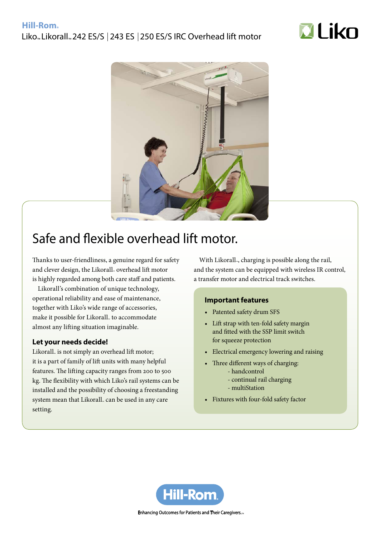## Liko<sub>™</sub> Likorall<sub>™</sub> 242 ES/S | 243 ES | 250 ES/S IRC Overhead lift motor





# Safe and flexible overhead lift motor.

Thanks to user-friendliness, a genuine regard for safety and clever design, the Likorall<sub>™</sub> overhead lift motor is highly regarded among both care staff and patients.

Likorall's combination of unique technology, operational reliability and ease of maintenance, together with Liko's wide range of accessories, make it possible for Likorall<sub>™</sub> to accommodate almost any lifting situation imaginable.

### **Let your needs decide!**

Likorall<sub>™</sub> is not simply an overhead lift motor; it is a part of family of lift units with many helpful features. The lifting capacity ranges from 200 to 500 kg. The flexibility with which Liko's rail systems can be installed and the possibility of choosing a freestanding system mean that Likorall<sub>™</sub> can be used in any care setting.

With Likorall.., charging is possible along the rail, and the system can be equipped with wireless IR control, a transfer motor and electrical track switches.

### **Important features**

- Patented safety drum SFS
- • Lift strap with ten-fold safety margin and fitted with the SSP limit switch for squeeze protection
- Electrical emergency lowering and raising
- Three different ways of charging:
	- handcontrol
	- continual rail charging
	- multiStation
- • Fixtures with four-fold safety factor



Enhancing Outcomes for Patients and Their Caregivers...